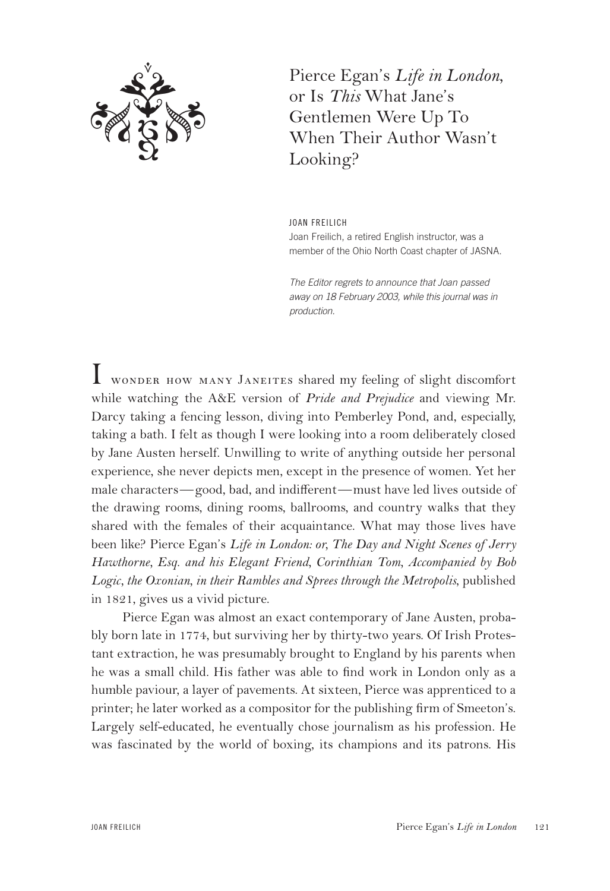

Pierce Egan's *Life in London*, or Is *This* What Jane's Gentlemen Were Up To When Their Author Wasn't Looking?

JOAN FREILICH Joan Freilich, a retired English instructor, was a member of the Ohio North Coast chapter of JASNA.

*The Editor regrets to announce that Joan passed away on 18 February 2003, while this journal was in production.*

I wonder how many <sup>J</sup>aneites shared my feeling of slight discomfort while watching the A&E version of *Pride and Prejudice* and viewing Mr. Darcy taking a fencing lesson, diving into Pemberley Pond, and, especially, taking a bath. I felt as though I were looking into a room deliberately closed by Jane Austen herself. Unwilling to write of anything outside her personal experience, she never depicts men, except in the presence of women. Yet her male characters—good, bad, and indifferent—must have led lives outside of the drawing rooms, dining rooms, ballrooms, and country walks that they shared with the females of their acquaintance. What may those lives have been like? Pierce Egan's *Life in London: or, The Day and Night Scenes of Jerry Hawthorne, Esq. and his Elegant Friend, Corinthian Tom, Accompanied by Bob Logic, the Oxonian, in their Rambles and Sprees through the Metropolis*, published in 1821, gives us a vivid picture.

Pierce Egan was almost an exact contemporary of Jane Austen, probably born late in 1774, but surviving her by thirty-two years. Of Irish Protestant extraction, he was presumably brought to England by his parents when he was a small child. His father was able to find work in London only as a humble paviour, a layer of pavements. At sixteen, Pierce was apprenticed to a printer; he later worked as a compositor for the publishing firm of Smeeton's. Largely self-educated, he eventually chose journalism as his profession. He was fascinated by the world of boxing, its champions and its patrons. His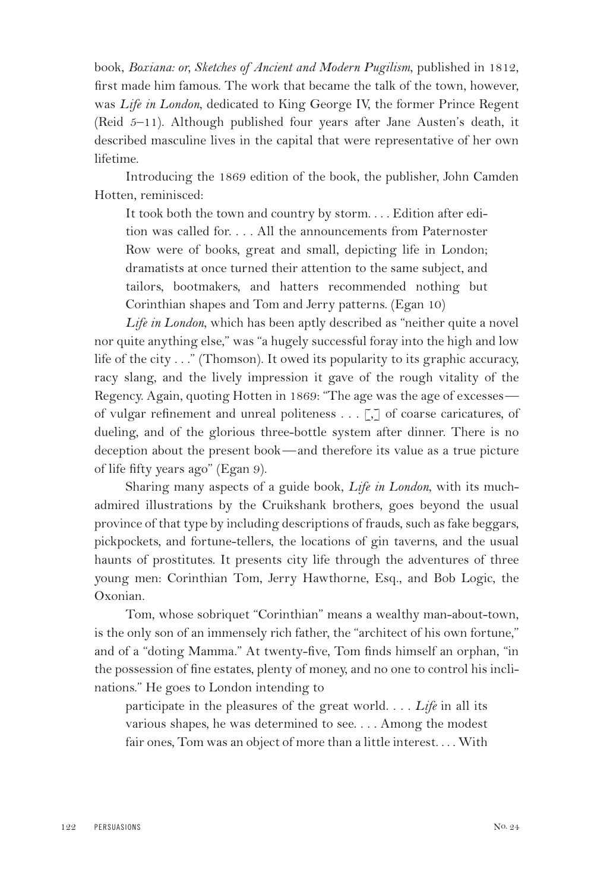book, *Boxiana: or, Sketches of Ancient and Modern Pugilism*, published in 1812, first made him famous. The work that became the talk of the town, however, was *Life in London*, dedicated to King George IV, the former Prince Regent (Reid 5–11). Although published four years after Jane Austen's death, it described masculine lives in the capital that were representative of her own lifetime.

Introducing the 1869 edition of the book, the publisher, John Camden Hotten, reminisced:

It took both the town and country by storm. . . . Edition after edition was called for. . . . All the announcements from Paternoster Row were of books, great and small, depicting life in London; dramatists at once turned their attention to the same subject, and tailors, bootmakers, and hatters recommended nothing but Corinthian shapes and Tom and Jerry patterns. (Egan 10)

*Life in London*, which has been aptly described as "neither quite a novel nor quite anything else," was "a hugely successful foray into the high and low life of the city . . ." (Thomson). It owed its popularity to its graphic accuracy, racy slang, and the lively impression it gave of the rough vitality of the Regency. Again, quoting Hotten in 1869: "The age was the age of excesses of vulgar refinement and unreal politeness . . . [,] of coarse caricatures, of dueling, and of the glorious three-bottle system after dinner. There is no deception about the present book—and therefore its value as a true picture of life fifty years ago" (Egan 9).

Sharing many aspects of a guide book, *Life in London*, with its muchadmired illustrations by the Cruikshank brothers, goes beyond the usual province of that type by including descriptions of frauds, such as fake beggars, pickpockets, and fortune-tellers, the locations of gin taverns, and the usual haunts of prostitutes. It presents city life through the adventures of three young men: Corinthian Tom, Jerry Hawthorne, Esq., and Bob Logic, the Oxonian.

Tom, whose sobriquet "Corinthian" means a wealthy man-about-town, is the only son of an immensely rich father, the "architect of his own fortune," and of a "doting Mamma." At twenty-five, Tom finds himself an orphan, "in the possession of fine estates, plenty of money, and no one to control his inclinations." He goes to London intending to

participate in the pleasures of the great world. . . . *Life* in all its various shapes, he was determined to see. . . . Among the modest fair ones, Tom was an object of more than a little interest. . . . With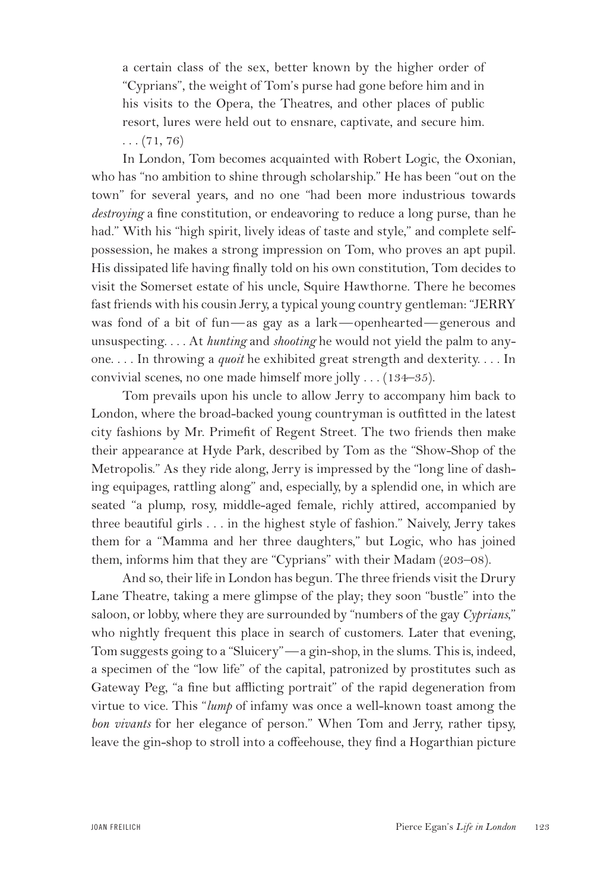a certain class of the sex, better known by the higher order of "Cyprians", the weight of Tom's purse had gone before him and in his visits to the Opera, the Theatres, and other places of public resort, lures were held out to ensnare, captivate, and secure him.

 $\ldots$  (71, 76)

In London, Tom becomes acquainted with Robert Logic, the Oxonian, who has "no ambition to shine through scholarship." He has been "out on the town" for several years, and no one "had been more industrious towards *destroying* a fine constitution, or endeavoring to reduce a long purse, than he had." With his "high spirit, lively ideas of taste and style," and complete selfpossession, he makes a strong impression on Tom, who proves an apt pupil. His dissipated life having finally told on his own constitution, Tom decides to visit the Somerset estate of his uncle, Squire Hawthorne. There he becomes fast friends with his cousin Jerry, a typical young country gentleman: "JERRY was fond of a bit of fun—as gay as a lark—openhearted—generous and unsuspecting. . . . At *hunting* and *shooting* he would not yield the palm to anyone. . . . In throwing a *quoit* he exhibited great strength and dexterity. . . . In convivial scenes, no one made himself more jolly . . . (134–35).

Tom prevails upon his uncle to allow Jerry to accompany him back to London, where the broad-backed young countryman is outfitted in the latest city fashions by Mr. Primefit of Regent Street. The two friends then make their appearance at Hyde Park, described by Tom as the "Show-Shop of the Metropolis." As they ride along, Jerry is impressed by the "long line of dashing equipages, rattling along" and, especially, by a splendid one, in which are seated "a plump, rosy, middle-aged female, richly attired, accompanied by three beautiful girls . . . in the highest style of fashion." Naively, Jerry takes them for a "Mamma and her three daughters," but Logic, who has joined them, informs him that they are "Cyprians" with their Madam (203–08).

And so, their life in London has begun. The three friends visit the Drury Lane Theatre, taking a mere glimpse of the play; they soon "bustle" into the saloon, or lobby, where they are surrounded by "numbers of the gay *Cyprians*," who nightly frequent this place in search of customers. Later that evening, Tom suggests going to a "Sluicery"—a gin-shop, in the slums. This is, indeed, a specimen of the "low life" of the capital, patronized by prostitutes such as Gateway Peg, "a fine but afflicting portrait" of the rapid degeneration from virtue to vice. This "*lump* of infamy was once a well-known toast among the *bon vivants* for her elegance of person." When Tom and Jerry, rather tipsy, leave the gin-shop to stroll into a coffeehouse, they find a Hogarthian picture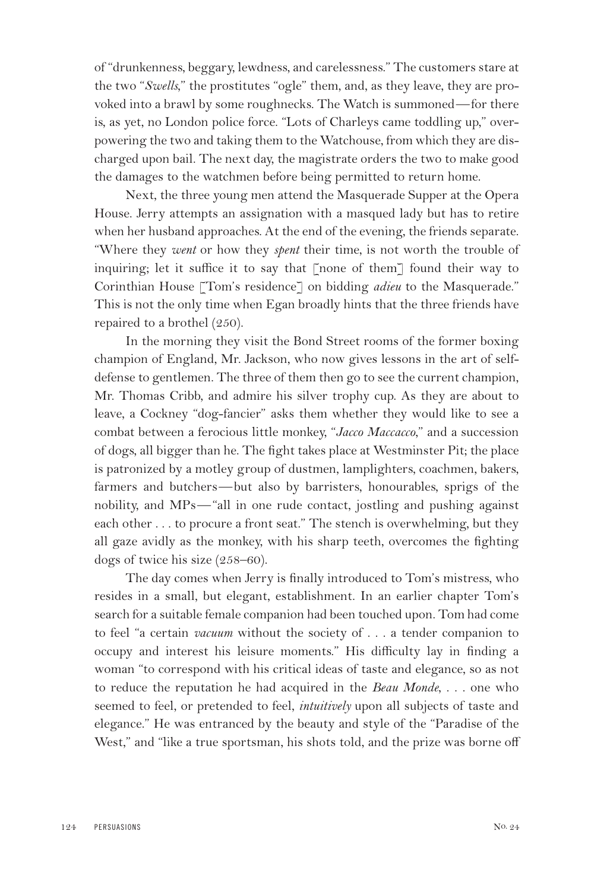of "drunkenness, beggary, lewdness, and carelessness." The customers stare at the two "*Swells*," the prostitutes "ogle" them, and, as they leave, they are provoked into a brawl by some roughnecks. The Watch is summoned—for there is, as yet, no London police force. "Lots of Charleys came toddling up," overpowering the two and taking them to the Watchouse, from which they are discharged upon bail. The next day, the magistrate orders the two to make good the damages to the watchmen before being permitted to return home.

Next, the three young men attend the Masquerade Supper at the Opera House. Jerry attempts an assignation with a masqued lady but has to retire when her husband approaches. At the end of the evening, the friends separate. "Where they *went* or how they *spent* their time, is not worth the trouble of inquiring; let it suffice it to say that [none of them] found their way to Corinthian House [Tom's residence] on bidding *adieu* to the Masquerade." This is not the only time when Egan broadly hints that the three friends have repaired to a brothel (250).

In the morning they visit the Bond Street rooms of the former boxing champion of England, Mr. Jackson, who now gives lessons in the art of selfdefense to gentlemen. The three of them then go to see the current champion, Mr. Thomas Cribb, and admire his silver trophy cup. As they are about to leave, a Cockney "dog-fancier" asks them whether they would like to see a combat between a ferocious little monkey, "*Jacco Maccacco*," and a succession of dogs, all bigger than he. The fight takes place at Westminster Pit; the place is patronized by a motley group of dustmen, lamplighters, coachmen, bakers, farmers and butchers—but also by barristers, honourables, sprigs of the nobility, and MPs—"all in one rude contact, jostling and pushing against each other . . . to procure a front seat." The stench is overwhelming, but they all gaze avidly as the monkey, with his sharp teeth, overcomes the fighting dogs of twice his size (258–60).

The day comes when Jerry is finally introduced to Tom's mistress, who resides in a small, but elegant, establishment. In an earlier chapter Tom's search for a suitable female companion had been touched upon. Tom had come to feel "a certain *vacuum* without the society of . . . a tender companion to occupy and interest his leisure moments." His difficulty lay in finding a woman "to correspond with his critical ideas of taste and elegance, so as not to reduce the reputation he had acquired in the *Beau Monde*, . . . one who seemed to feel, or pretended to feel, *intuitively* upon all subjects of taste and elegance." He was entranced by the beauty and style of the "Paradise of the West," and "like a true sportsman, his shots told, and the prize was borne off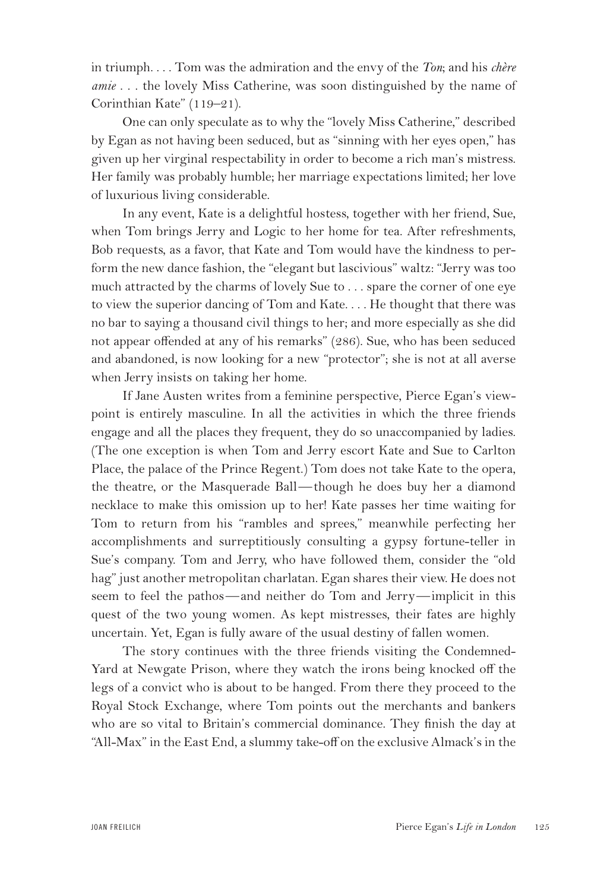in triumph. . . . Tom was the admiration and the envy of the *Ton*; and his *chère amie* . . . the lovely Miss Catherine, was soon distinguished by the name of Corinthian Kate" (119–21).

One can only speculate as to why the "lovely Miss Catherine," described by Egan as not having been seduced, but as "sinning with her eyes open," has given up her virginal respectability in order to become a rich man's mistress. Her family was probably humble; her marriage expectations limited; her love of luxurious living considerable.

In any event, Kate is a delightful hostess, together with her friend, Sue, when Tom brings Jerry and Logic to her home for tea. After refreshments, Bob requests, as a favor, that Kate and Tom would have the kindness to perform the new dance fashion, the "elegant but lascivious" waltz: "Jerry was too much attracted by the charms of lovely Sue to . . . spare the corner of one eye to view the superior dancing of Tom and Kate. . . . He thought that there was no bar to saying a thousand civil things to her; and more especially as she did not appear offended at any of his remarks" (286). Sue, who has been seduced and abandoned, is now looking for a new "protector"; she is not at all averse when Jerry insists on taking her home.

If Jane Austen writes from a feminine perspective, Pierce Egan's viewpoint is entirely masculine. In all the activities in which the three friends engage and all the places they frequent, they do so unaccompanied by ladies. (The one exception is when Tom and Jerry escort Kate and Sue to Carlton Place, the palace of the Prince Regent.) Tom does not take Kate to the opera, the theatre, or the Masquerade Ball—though he does buy her a diamond necklace to make this omission up to her! Kate passes her time waiting for Tom to return from his "rambles and sprees," meanwhile perfecting her accomplishments and surreptitiously consulting a gypsy fortune-teller in Sue's company. Tom and Jerry, who have followed them, consider the "old hag" just another metropolitan charlatan. Egan shares their view. He does not seem to feel the pathos—and neither do Tom and Jerry—implicit in this quest of the two young women. As kept mistresses, their fates are highly uncertain. Yet, Egan is fully aware of the usual destiny of fallen women.

The story continues with the three friends visiting the Condemned-Yard at Newgate Prison, where they watch the irons being knocked off the legs of a convict who is about to be hanged. From there they proceed to the Royal Stock Exchange, where Tom points out the merchants and bankers who are so vital to Britain's commercial dominance. They finish the day at "All-Max" in the East End, a slummy take-off on the exclusive Almack's in the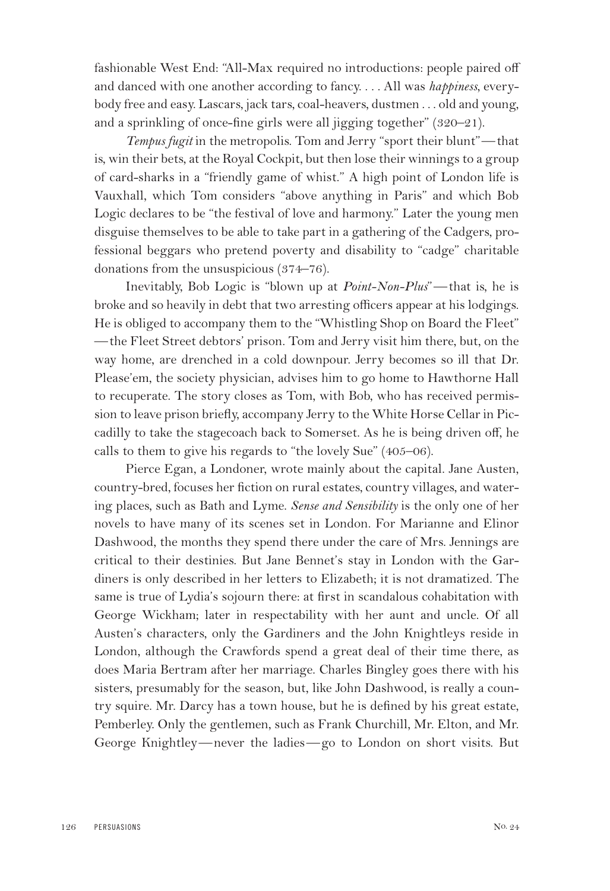fashionable West End: "All-Max required no introductions: people paired off and danced with one another according to fancy. . . . All was *happiness*, everybody free and easy. Lascars, jack tars, coal-heavers, dustmen . . . old and young, and a sprinkling of once-fine girls were all jigging together" (320–21).

*Tempus fugit* in the metropolis. Tom and Jerry "sport their blunt"—that is, win their bets, at the Royal Cockpit, but then lose their winnings to a group of card-sharks in a "friendly game of whist." A high point of London life is Vauxhall, which Tom considers "above anything in Paris" and which Bob Logic declares to be "the festival of love and harmony." Later the young men disguise themselves to be able to take part in a gathering of the Cadgers, professional beggars who pretend poverty and disability to "cadge" charitable donations from the unsuspicious (374–76).

Inevitably, Bob Logic is "blown up at *Point-Non-Plus*"—that is, he is broke and so heavily in debt that two arresting officers appear at his lodgings. He is obliged to accompany them to the "Whistling Shop on Board the Fleet" —the Fleet Street debtors' prison. Tom and Jerry visit him there, but, on the way home, are drenched in a cold downpour. Jerry becomes so ill that Dr. Please'em, the society physician, advises him to go home to Hawthorne Hall to recuperate. The story closes as Tom, with Bob, who has received permission to leave prison briefly, accompany Jerry to the White Horse Cellar in Piccadilly to take the stagecoach back to Somerset. As he is being driven off, he calls to them to give his regards to "the lovely Sue" (405–06).

Pierce Egan, a Londoner, wrote mainly about the capital. Jane Austen, country-bred, focuses her fiction on rural estates, country villages, and watering places, such as Bath and Lyme. *Sense and Sensibility* is the only one of her novels to have many of its scenes set in London. For Marianne and Elinor Dashwood, the months they spend there under the care of Mrs. Jennings are critical to their destinies. But Jane Bennet's stay in London with the Gardiners is only described in her letters to Elizabeth; it is not dramatized. The same is true of Lydia's sojourn there: at first in scandalous cohabitation with George Wickham; later in respectability with her aunt and uncle. Of all Austen's characters, only the Gardiners and the John Knightleys reside in London, although the Crawfords spend a great deal of their time there, as does Maria Bertram after her marriage. Charles Bingley goes there with his sisters, presumably for the season, but, like John Dashwood, is really a country squire. Mr. Darcy has a town house, but he is defined by his great estate, Pemberley. Only the gentlemen, such as Frank Churchill, Mr. Elton, and Mr. George Knightley—never the ladies—go to London on short visits. But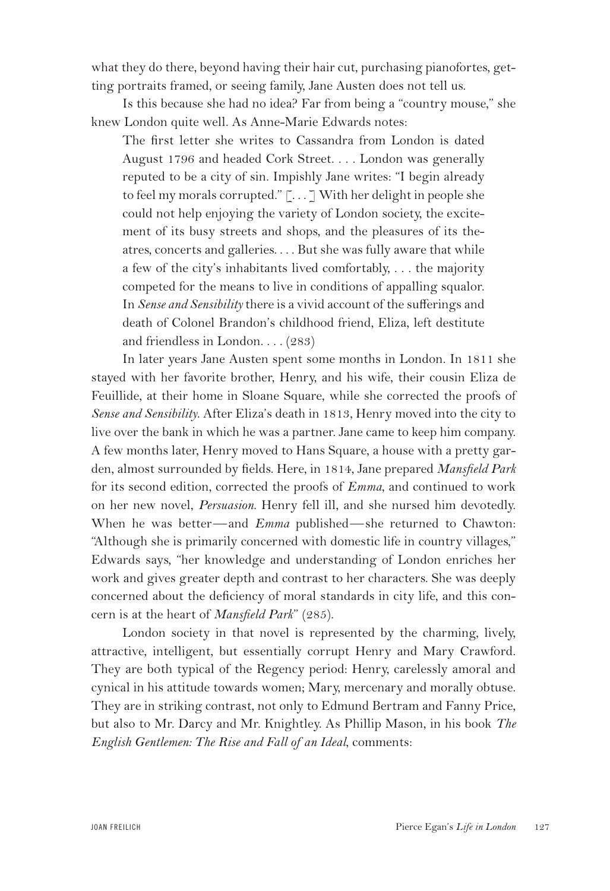what they do there, beyond having their hair cut, purchasing pianofortes, getting portraits framed, or seeing family, Jane Austen does not tell us.

Is this because she had no idea? Far from being a "country mouse," she knew London quite well. As Anne-Marie Edwards notes:

The first letter she writes to Cassandra from London is dated August 1796 and headed Cork Street. . . . London was generally reputed to be a city of sin. Impishly Jane writes: "I begin already to feel my morals corrupted."  $\lceil \ldots \rceil$  With her delight in people she could not help enjoying the variety of London society, the excitement of its busy streets and shops, and the pleasures of its theatres, concerts and galleries. . . . But she was fully aware that while a few of the city's inhabitants lived comfortably, . . . the majority competed for the means to live in conditions of appalling squalor. In *Sense and Sensibility* there is a vivid account of the sufferings and death of Colonel Brandon's childhood friend, Eliza, left destitute and friendless in London. . . . (283)

In later years Jane Austen spent some months in London. In 1811 she stayed with her favorite brother, Henry, and his wife, their cousin Eliza de Feuillide, at their home in Sloane Square, while she corrected the proofs of *Sense and Sensibility*. After Eliza's death in 1813, Henry moved into the city to live over the bank in which he was a partner. Jane came to keep him company. A few months later, Henry moved to Hans Square, a house with a pretty garden, almost surrounded by fields. Here, in 1814, Jane prepared *Mansfield Park* for its second edition, corrected the proofs of *Emma*, and continued to work on her new novel, *Persuasion*. Henry fell ill, and she nursed him devotedly. When he was better—and *Emma* published—she returned to Chawton: "Although she is primarily concerned with domestic life in country villages," Edwards says, "her knowledge and understanding of London enriches her work and gives greater depth and contrast to her characters. She was deeply concerned about the deficiency of moral standards in city life, and this concern is at the heart of *Mansfield Park*" (285).

London society in that novel is represented by the charming, lively, attractive, intelligent, but essentially corrupt Henry and Mary Crawford. They are both typical of the Regency period: Henry, carelessly amoral and cynical in his attitude towards women; Mary, mercenary and morally obtuse. They are in striking contrast, not only to Edmund Bertram and Fanny Price, but also to Mr. Darcy and Mr. Knightley. As Phillip Mason, in his book *The English Gentlemen: The Rise and Fall of an Ideal*, comments: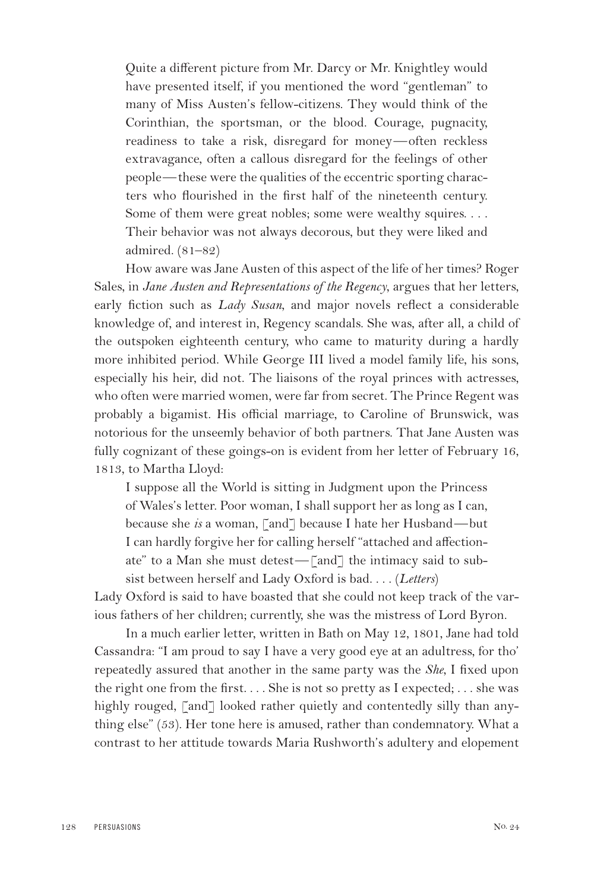Quite a different picture from Mr. Darcy or Mr. Knightley would have presented itself, if you mentioned the word "gentleman" to many of Miss Austen's fellow-citizens. They would think of the Corinthian, the sportsman, or the blood. Courage, pugnacity, readiness to take a risk, disregard for money—often reckless extravagance, often a callous disregard for the feelings of other people—these were the qualities of the eccentric sporting characters who flourished in the first half of the nineteenth century. Some of them were great nobles; some were wealthy squires. . . . Their behavior was not always decorous, but they were liked and admired. (81–82)

How aware was Jane Austen of this aspect of the life of her times? Roger Sales, in *Jane Austen and Representations of the Regency*, argues that her letters, early fiction such as *Lady Susan*, and major novels reflect a considerable knowledge of, and interest in, Regency scandals. She was, after all, a child of the outspoken eighteenth century, who came to maturity during a hardly more inhibited period. While George III lived a model family life, his sons, especially his heir, did not. The liaisons of the royal princes with actresses, who often were married women, were far from secret. The Prince Regent was probably a bigamist. His official marriage, to Caroline of Brunswick, was notorious for the unseemly behavior of both partners. That Jane Austen was fully cognizant of these goings-on is evident from her letter of February 16, 1813, to Martha Lloyd:

I suppose all the World is sitting in Judgment upon the Princess of Wales's letter. Poor woman, I shall support her as long as I can, because she *is* a woman, [and] because I hate her Husband—but I can hardly forgive her for calling herself "attached and affectionate" to a Man she must detest—[and] the intimacy said to subsist between herself and Lady Oxford is bad. . . . (*Letters*)

Lady Oxford is said to have boasted that she could not keep track of the various fathers of her children; currently, she was the mistress of Lord Byron.

In a much earlier letter, written in Bath on May 12, 1801, Jane had told Cassandra: "I am proud to say I have a very good eye at an adultress, for tho' repeatedly assured that another in the same party was the *She*, I fixed upon the right one from the first. . . . She is not so pretty as I expected; . . . she was highly rouged, [and] looked rather quietly and contentedly silly than anything else" (53). Her tone here is amused, rather than condemnatory. What a contrast to her attitude towards Maria Rushworth's adultery and elopement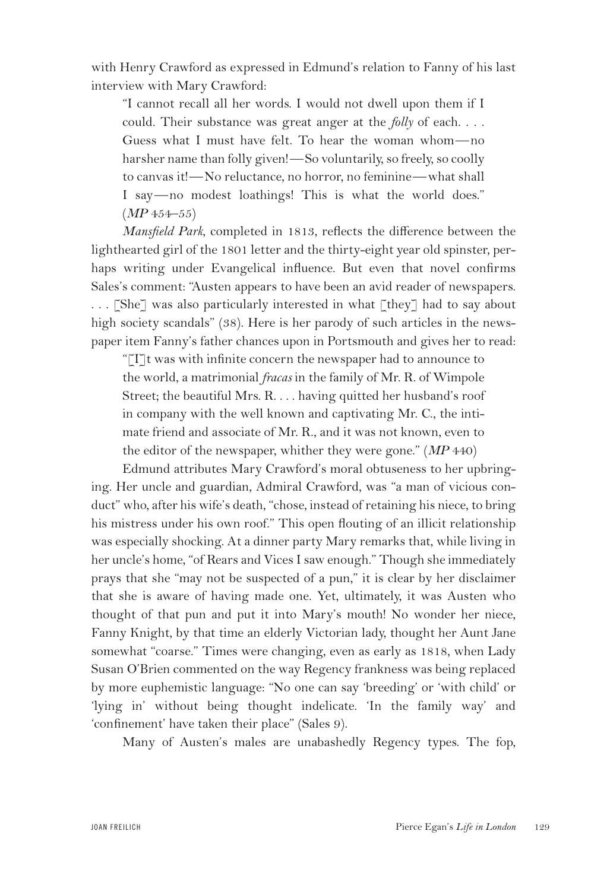with Henry Crawford as expressed in Edmund's relation to Fanny of his last interview with Mary Crawford:

"I cannot recall all her words. I would not dwell upon them if I could. Their substance was great anger at the *folly* of each. . . . Guess what I must have felt. To hear the woman whom—no harsher name than folly given!—So voluntarily, so freely, so coolly to canvas it!—No reluctance, no horror, no feminine—what shall I say—no modest loathings! This is what the world does." (*MP* 454–55)

*Mansfield Park*, completed in 1813, reflects the difference between the lighthearted girl of the 1801 letter and the thirty-eight year old spinster, perhaps writing under Evangelical influence. But even that novel confirms Sales's comment: "Austen appears to have been an avid reader of newspapers. . . . [She] was also particularly interested in what [they] had to say about high society scandals" (38). Here is her parody of such articles in the newspaper item Fanny's father chances upon in Portsmouth and gives her to read:

"[I]t was with infinite concern the newspaper had to announce to the world, a matrimonial *fracas* in the family of Mr. R. of Wimpole Street; the beautiful Mrs. R. . . . having quitted her husband's roof in company with the well known and captivating Mr. C., the intimate friend and associate of Mr. R., and it was not known, even to the editor of the newspaper, whither they were gone." (*MP* 440)

Edmund attributes Mary Crawford's moral obtuseness to her upbringing. Her uncle and guardian, Admiral Crawford, was "a man of vicious conduct" who, after his wife's death, "chose, instead of retaining his niece, to bring his mistress under his own roof." This open flouting of an illicit relationship was especially shocking. At a dinner party Mary remarks that, while living in her uncle's home, "of Rears and Vices I saw enough." Though she immediately prays that she "may not be suspected of a pun," it is clear by her disclaimer that she is aware of having made one. Yet, ultimately, it was Austen who thought of that pun and put it into Mary's mouth! No wonder her niece, Fanny Knight, by that time an elderly Victorian lady, thought her Aunt Jane somewhat "coarse." Times were changing, even as early as 1818, when Lady Susan O'Brien commented on the way Regency frankness was being replaced by more euphemistic language: "No one can say 'breeding' or 'with child' or 'lying in' without being thought indelicate. 'In the family way' and 'confinement' have taken their place" (Sales 9).

Many of Austen's males are unabashedly Regency types. The fop,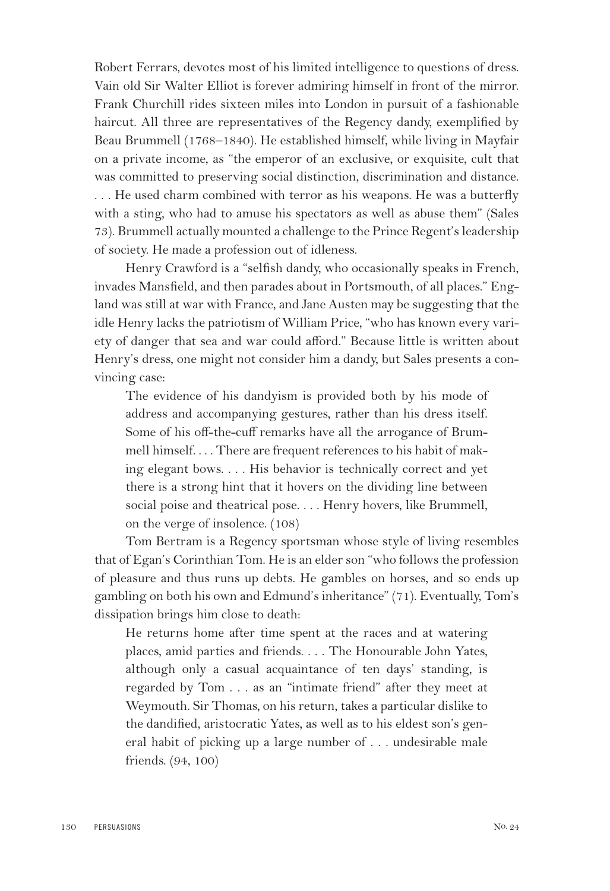Robert Ferrars, devotes most of his limited intelligence to questions of dress. Vain old Sir Walter Elliot is forever admiring himself in front of the mirror. Frank Churchill rides sixteen miles into London in pursuit of a fashionable haircut. All three are representatives of the Regency dandy, exemplified by Beau Brummell (1768–1840). He established himself, while living in Mayfair on a private income, as "the emperor of an exclusive, or exquisite, cult that was committed to preserving social distinction, discrimination and distance. . . . He used charm combined with terror as his weapons. He was a butterfly with a sting, who had to amuse his spectators as well as abuse them" (Sales 73). Brummell actually mounted a challenge to the Prince Regent's leadership of society. He made a profession out of idleness.

Henry Crawford is a "selfish dandy, who occasionally speaks in French, invades Mansfield, and then parades about in Portsmouth, of all places." England was still at war with France, and Jane Austen may be suggesting that the idle Henry lacks the patriotism of William Price, "who has known every variety of danger that sea and war could afford." Because little is written about Henry's dress, one might not consider him a dandy, but Sales presents a convincing case:

The evidence of his dandyism is provided both by his mode of address and accompanying gestures, rather than his dress itself. Some of his off-the-cuff remarks have all the arrogance of Brummell himself. . . . There are frequent references to his habit of making elegant bows. . . . His behavior is technically correct and yet there is a strong hint that it hovers on the dividing line between social poise and theatrical pose. . . . Henry hovers, like Brummell, on the verge of insolence. (108)

Tom Bertram is a Regency sportsman whose style of living resembles that of Egan's Corinthian Tom. He is an elder son "who follows the profession of pleasure and thus runs up debts. He gambles on horses, and so ends up gambling on both his own and Edmund's inheritance" (71). Eventually, Tom's dissipation brings him close to death:

He returns home after time spent at the races and at watering places, amid parties and friends. . . . The Honourable John Yates, although only a casual acquaintance of ten days' standing, is regarded by Tom . . . as an "intimate friend" after they meet at Weymouth. Sir Thomas, on his return, takes a particular dislike to the dandified, aristocratic Yates, as well as to his eldest son's general habit of picking up a large number of . . . undesirable male friends. (94, 100)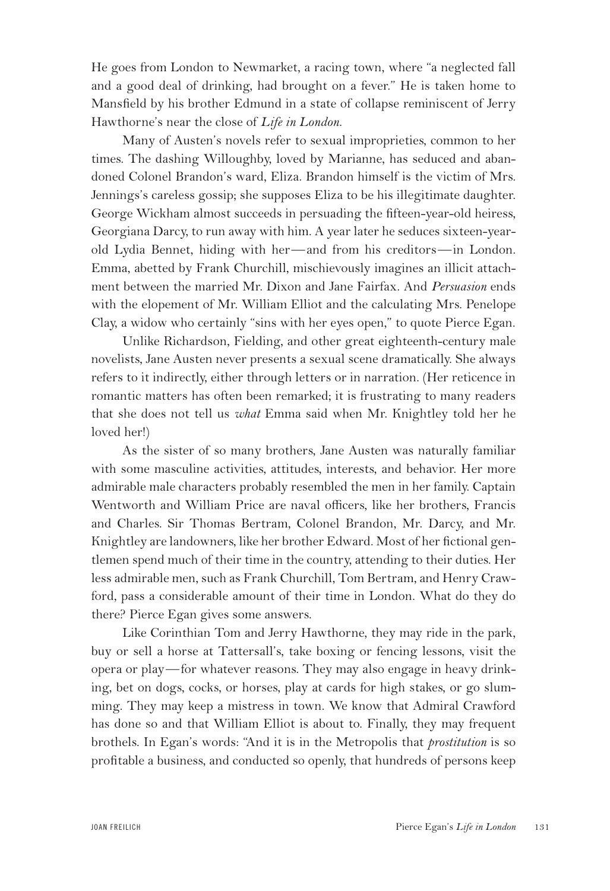He goes from London to Newmarket, a racing town, where "a neglected fall and a good deal of drinking, had brought on a fever." He is taken home to Mansfield by his brother Edmund in a state of collapse reminiscent of Jerry Hawthorne's near the close of *Life in London*.

Many of Austen's novels refer to sexual improprieties, common to her times. The dashing Willoughby, loved by Marianne, has seduced and abandoned Colonel Brandon's ward, Eliza. Brandon himself is the victim of Mrs. Jennings's careless gossip; she supposes Eliza to be his illegitimate daughter. George Wickham almost succeeds in persuading the fifteen-year-old heiress, Georgiana Darcy, to run away with him. A year later he seduces sixteen-yearold Lydia Bennet, hiding with her—and from his creditors—in London. Emma, abetted by Frank Churchill, mischievously imagines an illicit attachment between the married Mr. Dixon and Jane Fairfax. And *Persuasion* ends with the elopement of Mr. William Elliot and the calculating Mrs. Penelope Clay, a widow who certainly "sins with her eyes open," to quote Pierce Egan.

Unlike Richardson, Fielding, and other great eighteenth-century male novelists, Jane Austen never presents a sexual scene dramatically. She always refers to it indirectly, either through letters or in narration. (Her reticence in romantic matters has often been remarked; it is frustrating to many readers that she does not tell us *what* Emma said when Mr. Knightley told her he loved her!)

As the sister of so many brothers, Jane Austen was naturally familiar with some masculine activities, attitudes, interests, and behavior. Her more admirable male characters probably resembled the men in her family. Captain Wentworth and William Price are naval officers, like her brothers, Francis and Charles. Sir Thomas Bertram, Colonel Brandon, Mr. Darcy, and Mr. Knightley are landowners, like her brother Edward. Most of her fictional gentlemen spend much of their time in the country, attending to their duties. Her less admirable men, such as Frank Churchill, Tom Bertram, and Henry Crawford, pass a considerable amount of their time in London. What do they do there? Pierce Egan gives some answers.

Like Corinthian Tom and Jerry Hawthorne, they may ride in the park, buy or sell a horse at Tattersall's, take boxing or fencing lessons, visit the opera or play—for whatever reasons. They may also engage in heavy drinking, bet on dogs, cocks, or horses, play at cards for high stakes, or go slumming. They may keep a mistress in town. We know that Admiral Crawford has done so and that William Elliot is about to. Finally, they may frequent brothels. In Egan's words: "And it is in the Metropolis that *prostitution* is so profitable a business, and conducted so openly, that hundreds of persons keep